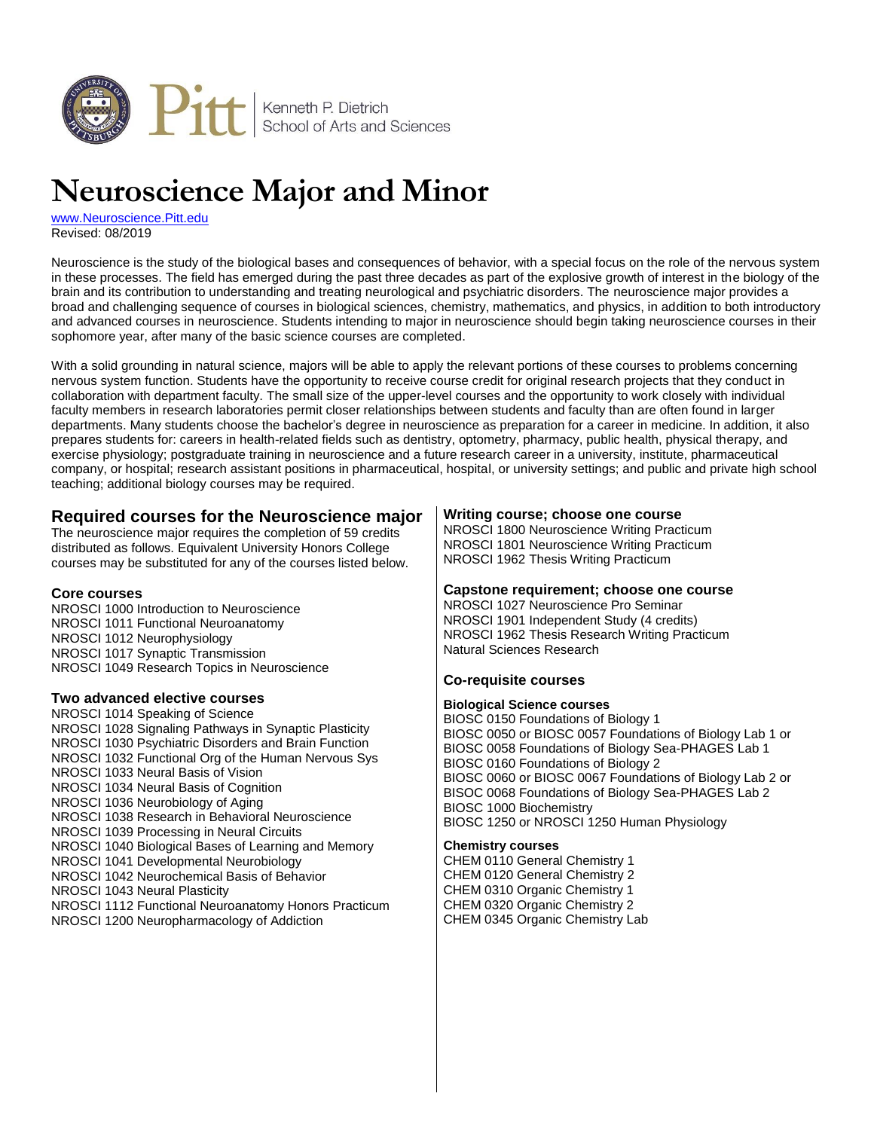

# **Neuroscience Major and Minor**

[www.Neuroscience.Pitt.edu](http://www.neuroscience.pitt.edu/) Revised: 08/2019

Neuroscience is the study of the biological bases and consequences of behavior, with a special focus on the role of the nervous system in these processes. The field has emerged during the past three decades as part of the explosive growth of interest in the biology of the brain and its contribution to understanding and treating neurological and psychiatric disorders. The neuroscience major provides a broad and challenging sequence of courses in biological sciences, chemistry, mathematics, and physics, in addition to both introductory and advanced courses in neuroscience. Students intending to major in neuroscience should begin taking neuroscience courses in their sophomore year, after many of the basic science courses are completed.

With a solid grounding in natural science, majors will be able to apply the relevant portions of these courses to problems concerning nervous system function. Students have the opportunity to receive course credit for original research projects that they conduct in collaboration with department faculty. The small size of the upper-level courses and the opportunity to work closely with individual faculty members in research laboratories permit closer relationships between students and faculty than are often found in larger departments. Many students choose the bachelor's degree in neuroscience as preparation for a career in medicine. In addition, it also prepares students for: careers in health-related fields such as dentistry, optometry, pharmacy, public health, physical therapy, and exercise physiology; postgraduate training in neuroscience and a future research career in a university, institute, pharmaceutical company, or hospital; research assistant positions in pharmaceutical, hospital, or university settings; and public and private high school teaching; additional biology courses may be required.

# **Required courses for the Neuroscience major**

The neuroscience major requires the completion of 59 credits distributed as follows. Equivalent University Honors College courses may be substituted for any of the courses listed below.

#### **Core courses**

NROSCI 1000 Introduction to Neuroscience NROSCI 1011 Functional Neuroanatomy NROSCI 1012 Neurophysiology NROSCI 1017 Synaptic Transmission NROSCI 1049 Research Topics in Neuroscience

#### **Two advanced elective courses**

NROSCI 1014 Speaking of Science NROSCI 1028 Signaling Pathways in Synaptic Plasticity NROSCI 1030 Psychiatric Disorders and Brain Function NROSCI 1032 Functional Org of the Human Nervous Sys NROSCI 1033 Neural Basis of Vision NROSCI 1034 Neural Basis of Cognition NROSCI 1036 Neurobiology of Aging NROSCI 1038 Research in Behavioral Neuroscience NROSCI 1039 Processing in Neural Circuits NROSCI 1040 Biological Bases of Learning and Memory NROSCI 1041 Developmental Neurobiology NROSCI 1042 Neurochemical Basis of Behavior NROSCI 1043 Neural Plasticity NROSCI 1112 Functional Neuroanatomy Honors Practicum NROSCI 1200 Neuropharmacology of Addiction

#### **Writing course; choose one course**

NROSCI 1800 Neuroscience Writing Practicum NROSCI 1801 Neuroscience Writing Practicum NROSCI 1962 Thesis Writing Practicum

#### **Capstone requirement; choose one course**

NROSCI 1027 Neuroscience Pro Seminar NROSCI 1901 Independent Study (4 credits) NROSCI 1962 Thesis Research Writing Practicum Natural Sciences Research

#### **Co-requisite courses**

#### **Biological Science courses**

BIOSC 0150 Foundations of Biology 1 BIOSC 0050 or BIOSC 0057 Foundations of Biology Lab 1 or BIOSC 0058 Foundations of Biology Sea-PHAGES Lab 1 BIOSC 0160 Foundations of Biology 2 BIOSC 0060 or BIOSC 0067 Foundations of Biology Lab 2 or BISOC 0068 Foundations of Biology Sea-PHAGES Lab 2 BIOSC 1000 Biochemistry BIOSC 1250 or NROSCI 1250 Human Physiology

#### **Chemistry courses**

CHEM 0110 General Chemistry 1 CHEM 0120 General Chemistry 2 CHEM 0310 Organic Chemistry 1 CHEM 0320 Organic Chemistry 2 CHEM 0345 Organic Chemistry Lab